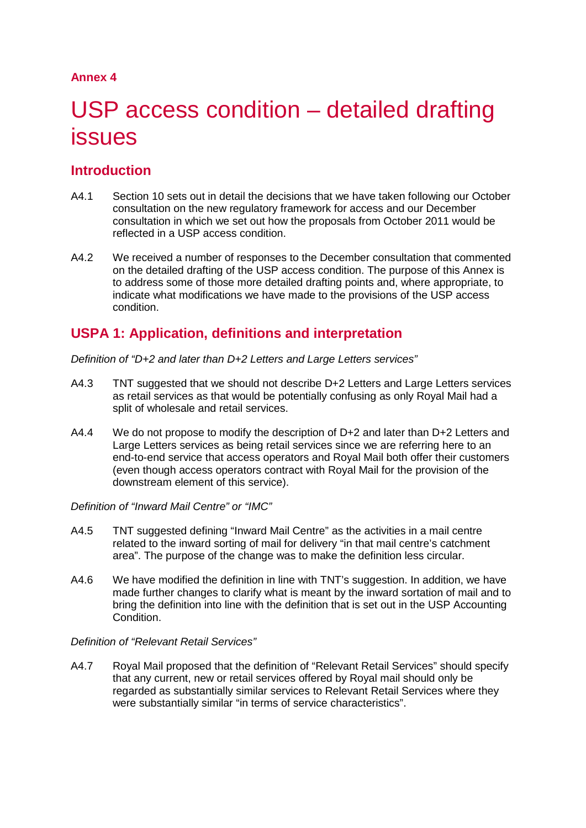## **Annex 4**

# USP access condition – detailed drafting issues

# **Introduction**

- A4.1 Section 10 sets out in detail the decisions that we have taken following our October consultation on the new regulatory framework for access and our December consultation in which we set out how the proposals from October 2011 would be reflected in a USP access condition.
- A4.2 We received a number of responses to the December consultation that commented on the detailed drafting of the USP access condition. The purpose of this Annex is to address some of those more detailed drafting points and, where appropriate, to indicate what modifications we have made to the provisions of the USP access condition.

# **USPA 1: Application, definitions and interpretation**

*Definition of "D+2 and later than D+2 Letters and Large Letters services"*

- A4.3 TNT suggested that we should not describe D+2 Letters and Large Letters services as retail services as that would be potentially confusing as only Royal Mail had a split of wholesale and retail services.
- A4.4 We do not propose to modify the description of  $D+2$  and later than  $D+2$  Letters and Large Letters services as being retail services since we are referring here to an end-to-end service that access operators and Royal Mail both offer their customers (even though access operators contract with Royal Mail for the provision of the downstream element of this service).

#### *Definition of "Inward Mail Centre" or "IMC"*

- A4.5 TNT suggested defining "Inward Mail Centre" as the activities in a mail centre related to the inward sorting of mail for delivery "in that mail centre's catchment area". The purpose of the change was to make the definition less circular.
- A4.6 We have modified the definition in line with TNT's suggestion. In addition, we have made further changes to clarify what is meant by the inward sortation of mail and to bring the definition into line with the definition that is set out in the USP Accounting Condition.

#### *Definition of "Relevant Retail Services"*

A4.7 Royal Mail proposed that the definition of "Relevant Retail Services" should specify that any current, new or retail services offered by Royal mail should only be regarded as substantially similar services to Relevant Retail Services where they were substantially similar "in terms of service characteristics".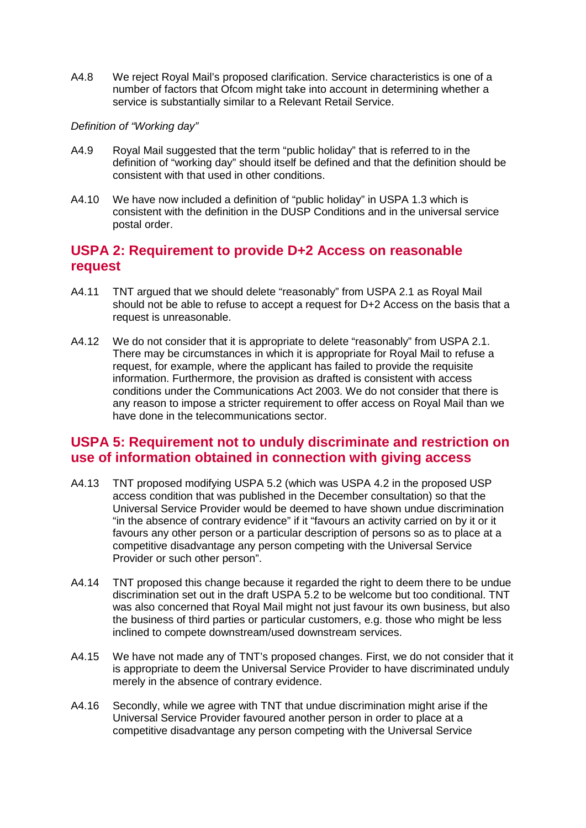A4.8 We reject Royal Mail's proposed clarification. Service characteristics is one of a number of factors that Ofcom might take into account in determining whether a service is substantially similar to a Relevant Retail Service.

#### *Definition of "Working day"*

- A4.9 Royal Mail suggested that the term "public holiday" that is referred to in the definition of "working day" should itself be defined and that the definition should be consistent with that used in other conditions.
- A4.10 We have now included a definition of "public holiday" in USPA 1.3 which is consistent with the definition in the DUSP Conditions and in the universal service postal order.

## **USPA 2: Requirement to provide D+2 Access on reasonable request**

- A4.11 TNT argued that we should delete "reasonably" from USPA 2.1 as Royal Mail should not be able to refuse to accept a request for D+2 Access on the basis that a request is unreasonable.
- A4.12 We do not consider that it is appropriate to delete "reasonably" from USPA 2.1. There may be circumstances in which it is appropriate for Royal Mail to refuse a request, for example, where the applicant has failed to provide the requisite information. Furthermore, the provision as drafted is consistent with access conditions under the Communications Act 2003. We do not consider that there is any reason to impose a stricter requirement to offer access on Royal Mail than we have done in the telecommunications sector.

## **USPA 5: Requirement not to unduly discriminate and restriction on use of information obtained in connection with giving access**

- A4.13 TNT proposed modifying USPA 5.2 (which was USPA 4.2 in the proposed USP access condition that was published in the December consultation) so that the Universal Service Provider would be deemed to have shown undue discrimination "in the absence of contrary evidence" if it "favours an activity carried on by it or it favours any other person or a particular description of persons so as to place at a competitive disadvantage any person competing with the Universal Service Provider or such other person".
- A4.14 TNT proposed this change because it regarded the right to deem there to be undue discrimination set out in the draft USPA 5.2 to be welcome but too conditional. TNT was also concerned that Royal Mail might not just favour its own business, but also the business of third parties or particular customers, e.g. those who might be less inclined to compete downstream/used downstream services.
- A4.15 We have not made any of TNT's proposed changes. First, we do not consider that it is appropriate to deem the Universal Service Provider to have discriminated unduly merely in the absence of contrary evidence.
- A4.16 Secondly, while we agree with TNT that undue discrimination might arise if the Universal Service Provider favoured another person in order to place at a competitive disadvantage any person competing with the Universal Service